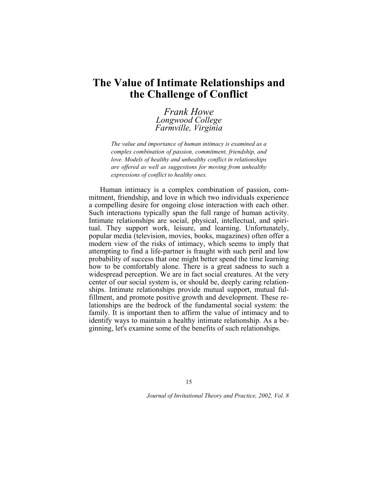# **The Value of Intimate Relationships and the Challenge of Conflict**

*Frank Howe Longwood College Farmville, Virginia*

*The value and importance of human intimacy is examined as a complex combination of passion, commitment, friendship, and love. Models of healthy and unhealthy conflict in relationships are offered as well as suggestions for moving from unhealthy expressions of conflict to healthy ones.* 

Human intimacy is a complex combination of passion, commitment, friendship, and love in which two individuals experience a compelling desire for ongoing close interaction with each other. Such interactions typically span the full range of human activity. Intimate relationships are social, physical, intellectual, and spiritual. They support work, leisure, and learning. Unfortunately, popular media (television, movies, books, magazines) often offer a modern view of the risks of intimacy, which seems to imply that attempting to find a life-partner is fraught with such peril and low probability of success that one might better spend the time learning how to be comfortably alone. There is a great sadness to such a widespread perception. We are in fact social creatures. At the very center of our social system is, or should be, deeply caring relationships. Intimate relationships provide mutual support, mutual fulfillment, and promote positive growth and development. These relationships are the bedrock of the fundamental social system: the family. It is important then to affirm the value of intimacy and to identify ways to maintain a healthy intimate relationship. As a beginning, let's examine some of the benefits of such relationships.

15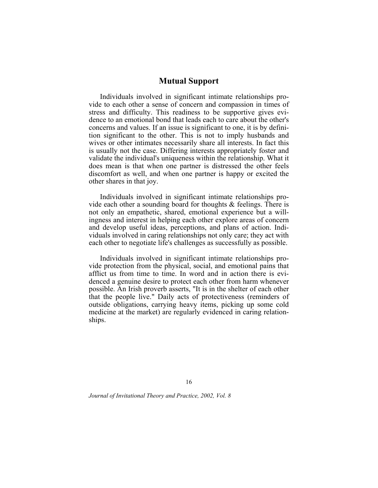# **Mutual Support**

Individuals involved in significant intimate relationships provide to each other a sense of concern and compassion in times of stress and difficulty. This readiness to be supportive gives evidence to an emotional bond that leads each to care about the other's concerns and values. If an issue is significant to one, it is by definition significant to the other. This is not to imply husbands and wives or other intimates necessarily share all interests. In fact this is usually not the case. Differing interests appropriately foster and validate the individual's uniqueness within the relationship. What it does mean is that when one partner is distressed the other feels discomfort as well, and when one partner is happy or excited the other shares in that joy.

Individuals involved in significant intimate relationships provide each other a sounding board for thoughts & feelings. There is not only an empathetic, shared, emotional experience but a willingness and interest in helping each other explore areas of concern and develop useful ideas, perceptions, and plans of action. Individuals involved in caring relationships not only care; they act with each other to negotiate life's challenges as successfully as possible.

Individuals involved in significant intimate relationships provide protection from the physical, social, and emotional pains that afflict us from time to time. In word and in action there is evidenced a genuine desire to protect each other from harm whenever possible. An Irish proverb asserts, "It is in the shelter of each other that the people live." Daily acts of protectiveness (reminders of outside obligations, carrying heavy items, picking up some cold medicine at the market) are regularly evidenced in caring relationships.

16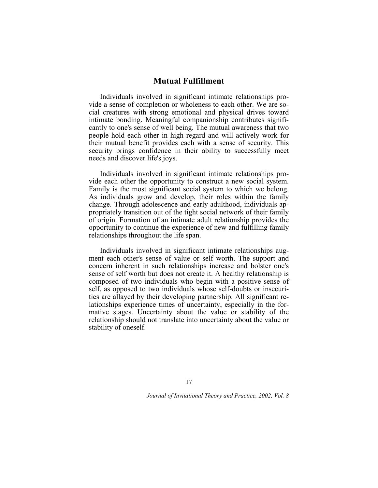# **Mutual Fulfillment**

Individuals involved in significant intimate relationships provide a sense of completion or wholeness to each other. We are social creatures with strong emotional and physical drives toward intimate bonding. Meaningful companionship contributes significantly to one's sense of well being. The mutual awareness that two people hold each other in high regard and will actively work for their mutual benefit provides each with a sense of security. This security brings confidence in their ability to successfully meet needs and discover life's joys.

Individuals involved in significant intimate relationships provide each other the opportunity to construct a new social system. Family is the most significant social system to which we belong. As individuals grow and develop, their roles within the family change. Through adolescence and early adulthood, individuals appropriately transition out of the tight social network of their family of origin. Formation of an intimate adult relationship provides the opportunity to continue the experience of new and fulfilling family relationships throughout the life span.

Individuals involved in significant intimate relationships augment each other's sense of value or self worth. The support and concern inherent in such relationships increase and bolster one's sense of self worth but does not create it. A healthy relationship is composed of two individuals who begin with a positive sense of self, as opposed to two individuals whose self-doubts or insecurities are allayed by their developing partnership. All significant relationships experience times of uncertainty, especially in the formative stages. Uncertainty about the value or stability of the relationship should not translate into uncertainty about the value or stability of oneself.

17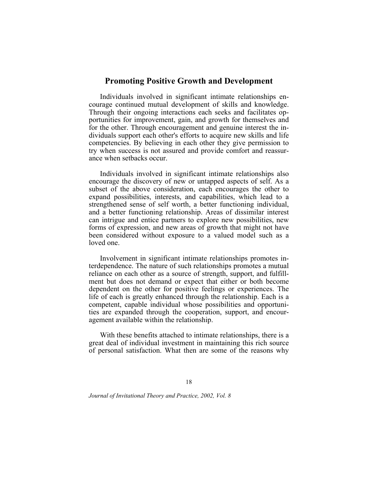# **Promoting Positive Growth and Development**

Individuals involved in significant intimate relationships encourage continued mutual development of skills and knowledge. Through their ongoing interactions each seeks and facilitates opportunities for improvement, gain, and growth for themselves and for the other. Through encouragement and genuine interest the individuals support each other's efforts to acquire new skills and life competencies. By believing in each other they give permission to try when success is not assured and provide comfort and reassurance when setbacks occur.

Individuals involved in significant intimate relationships also encourage the discovery of new or untapped aspects of self. As a subset of the above consideration, each encourages the other to expand possibilities, interests, and capabilities, which lead to a strengthened sense of self worth, a better functioning individual, and a better functioning relationship. Areas of dissimilar interest can intrigue and entice partners to explore new possibilities, new forms of expression, and new areas of growth that might not have been considered without exposure to a valued model such as a loved one.

Involvement in significant intimate relationships promotes interdependence. The nature of such relationships promotes a mutual reliance on each other as a source of strength, support, and fulfillment but does not demand or expect that either or both become dependent on the other for positive feelings or experiences. The life of each is greatly enhanced through the relationship. Each is a competent, capable individual whose possibilities and opportunities are expanded through the cooperation, support, and encouragement available within the relationship.

With these benefits attached to intimate relationships, there is a great deal of individual investment in maintaining this rich source of personal satisfaction. What then are some of the reasons why

18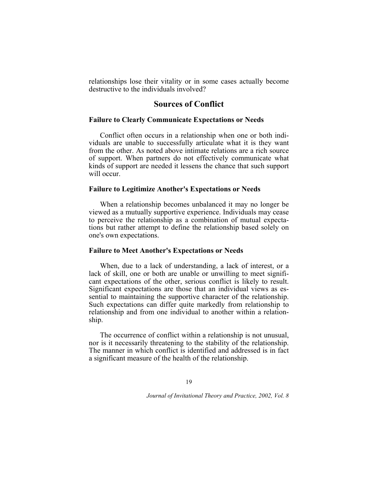relationships lose their vitality or in some cases actually become destructive to the individuals involved?

# **Sources of Conflict**

#### **Failure to Clearly Communicate Expectations or Needs**

Conflict often occurs in a relationship when one or both individuals are unable to successfully articulate what it is they want from the other. As noted above intimate relations are a rich source of support. When partners do not effectively communicate what kinds of support are needed it lessens the chance that such support will occur.

#### **Failure to Legitimize Another's Expectations or Needs**

When a relationship becomes unbalanced it may no longer be viewed as a mutually supportive experience. Individuals may cease to perceive the relationship as a combination of mutual expectations but rather attempt to define the relationship based solely on one's own expectations.

## **Failure to Meet Another's Expectations or Needs**

When, due to a lack of understanding, a lack of interest, or a lack of skill, one or both are unable or unwilling to meet significant expectations of the other, serious conflict is likely to result. Significant expectations are those that an individual views as essential to maintaining the supportive character of the relationship. Such expectations can differ quite markedly from relationship to relationship and from one individual to another within a relationship.

The occurrence of conflict within a relationship is not unusual, nor is it necessarily threatening to the stability of the relationship. The manner in which conflict is identified and addressed is in fact a significant measure of the health of the relationship.

#### 19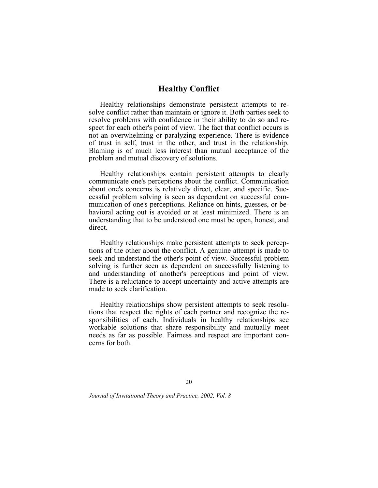# **Healthy Conflict**

Healthy relationships demonstrate persistent attempts to resolve conflict rather than maintain or ignore it. Both parties seek to resolve problems with confidence in their ability to do so and respect for each other's point of view. The fact that conflict occurs is not an overwhelming or paralyzing experience. There is evidence of trust in self, trust in the other, and trust in the relationship. Blaming is of much less interest than mutual acceptance of the problem and mutual discovery of solutions.

Healthy relationships contain persistent attempts to clearly communicate one's perceptions about the conflict. Communication about one's concerns is relatively direct, clear, and specific. Successful problem solving is seen as dependent on successful communication of one's perceptions. Reliance on hints, guesses, or behavioral acting out is avoided or at least minimized. There is an understanding that to be understood one must be open, honest, and direct.

Healthy relationships make persistent attempts to seek perceptions of the other about the conflict. A genuine attempt is made to seek and understand the other's point of view. Successful problem solving is further seen as dependent on successfully listening to and understanding of another's perceptions and point of view. There is a reluctance to accept uncertainty and active attempts are made to seek clarification.

Healthy relationships show persistent attempts to seek resolutions that respect the rights of each partner and recognize the responsibilities of each. Individuals in healthy relationships see workable solutions that share responsibility and mutually meet needs as far as possible. Fairness and respect are important concerns for both.

20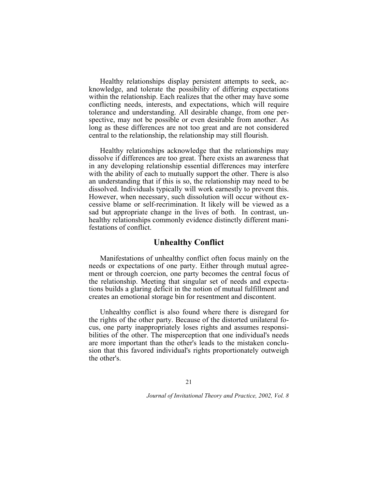Healthy relationships display persistent attempts to seek, acknowledge, and tolerate the possibility of differing expectations within the relationship. Each realizes that the other may have some conflicting needs, interests, and expectations, which will require tolerance and understanding. All desirable change, from one perspective, may not be possible or even desirable from another. As long as these differences are not too great and are not considered central to the relationship, the relationship may still flourish.

Healthy relationships acknowledge that the relationships may dissolve if differences are too great. There exists an awareness that in any developing relationship essential differences may interfere with the ability of each to mutually support the other. There is also an understanding that if this is so, the relationship may need to be dissolved. Individuals typically will work earnestly to prevent this. However, when necessary, such dissolution will occur without excessive blame or self-recrimination. It likely will be viewed as a sad but appropriate change in the lives of both. In contrast, unhealthy relationships commonly evidence distinctly different manifestations of conflict.

## **Unhealthy Conflict**

Manifestations of unhealthy conflict often focus mainly on the needs or expectations of one party. Either through mutual agreement or through coercion, one party becomes the central focus of the relationship. Meeting that singular set of needs and expectations builds a glaring deficit in the notion of mutual fulfillment and creates an emotional storage bin for resentment and discontent.

Unhealthy conflict is also found where there is disregard for the rights of the other party. Because of the distorted unilateral focus, one party inappropriately loses rights and assumes responsibilities of the other. The misperception that one individual's needs are more important than the other's leads to the mistaken conclusion that this favored individual's rights proportionately outweigh the other's.

#### 21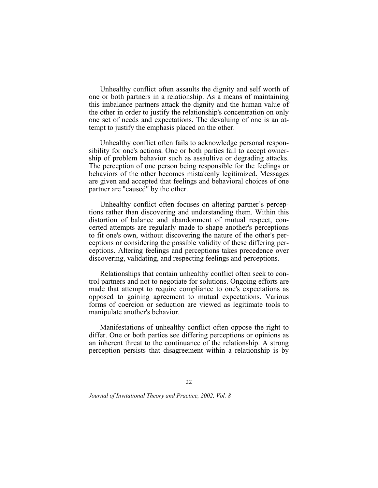Unhealthy conflict often assaults the dignity and self worth of one or both partners in a relationship. As a means of maintaining this imbalance partners attack the dignity and the human value of the other in order to justify the relationship's concentration on only one set of needs and expectations. The devaluing of one is an attempt to justify the emphasis placed on the other.

Unhealthy conflict often fails to acknowledge personal responsibility for one's actions. One or both parties fail to accept ownership of problem behavior such as assaultive or degrading attacks. The perception of one person being responsible for the feelings or behaviors of the other becomes mistakenly legitimized. Messages are given and accepted that feelings and behavioral choices of one partner are "caused" by the other.

Unhealthy conflict often focuses on altering partner's perceptions rather than discovering and understanding them. Within this distortion of balance and abandonment of mutual respect, concerted attempts are regularly made to shape another's perceptions to fit one's own, without discovering the nature of the other's perceptions or considering the possible validity of these differing perceptions. Altering feelings and perceptions takes precedence over discovering, validating, and respecting feelings and perceptions.

Relationships that contain unhealthy conflict often seek to control partners and not to negotiate for solutions. Ongoing efforts are made that attempt to require compliance to one's expectations as opposed to gaining agreement to mutual expectations. Various forms of coercion or seduction are viewed as legitimate tools to manipulate another's behavior.

Manifestations of unhealthy conflict often oppose the right to differ. One or both parties see differing perceptions or opinions as an inherent threat to the continuance of the relationship. A strong perception persists that disagreement within a relationship is by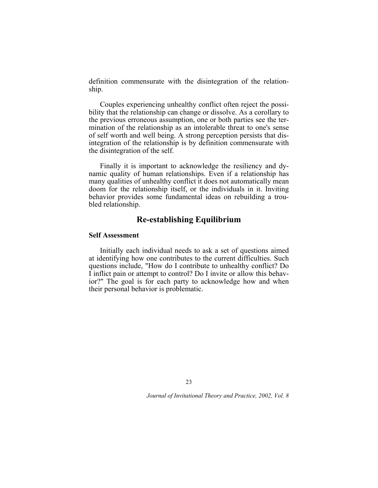definition commensurate with the disintegration of the relationship.

Couples experiencing unhealthy conflict often reject the possibility that the relationship can change or dissolve. As a corollary to the previous erroneous assumption, one or both parties see the termination of the relationship as an intolerable threat to one's sense of self worth and well being. A strong perception persists that disintegration of the relationship is by definition commensurate with the disintegration of the self.

Finally it is important to acknowledge the resiliency and dynamic quality of human relationships. Even if a relationship has many qualities of unhealthy conflict it does not automatically mean doom for the relationship itself, or the individuals in it. Inviting behavior provides some fundamental ideas on rebuilding a troubled relationship.

# **Re-establishing Equilibrium**

#### **Self Assessment**

Initially each individual needs to ask a set of questions aimed at identifying how one contributes to the current difficulties. Such questions include, "How do I contribute to unhealthy conflict? Do I inflict pain or attempt to control? Do I invite or allow this behavior?" The goal is for each party to acknowledge how and when their personal behavior is problematic.

23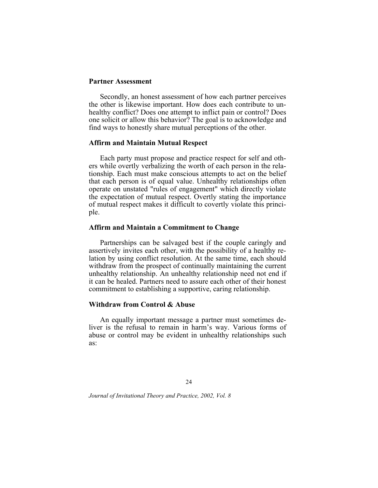## **Partner Assessment**

Secondly, an honest assessment of how each partner perceives the other is likewise important. How does each contribute to unhealthy conflict? Does one attempt to inflict pain or control? Does one solicit or allow this behavior? The goal is to acknowledge and find ways to honestly share mutual perceptions of the other.

#### **Affirm and Maintain Mutual Respect**

Each party must propose and practice respect for self and others while overtly verbalizing the worth of each person in the relationship. Each must make conscious attempts to act on the belief that each person is of equal value. Unhealthy relationships often operate on unstated "rules of engagement" which directly violate the expectation of mutual respect. Overtly stating the importance of mutual respect makes it difficult to covertly violate this principle.

#### **Affirm and Maintain a Commitment to Change**

Partnerships can be salvaged best if the couple caringly and assertively invites each other, with the possibility of a healthy relation by using conflict resolution. At the same time, each should withdraw from the prospect of continually maintaining the current unhealthy relationship. An unhealthy relationship need not end if it can be healed. Partners need to assure each other of their honest commitment to establishing a supportive, caring relationship.

## **Withdraw from Control & Abuse**

An equally important message a partner must sometimes deliver is the refusal to remain in harm's way. Various forms of abuse or control may be evident in unhealthy relationships such as: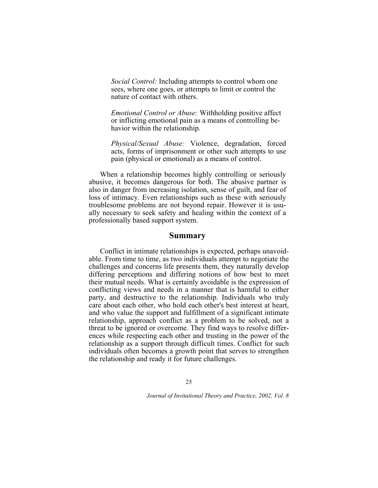*Social Control:* Including attempts to control whom one sees, where one goes, or attempts to limit or control the nature of contact with others.

*Emotional Control or Abuse:* Withholding positive affect or inflicting emotional pain as a means of controlling behavior within the relationship.

*Physical/Sexual Abuse:* Violence, degradation, forced acts, forms of imprisonment or other such attempts to use pain (physical or emotional) as a means of control.

When a relationship becomes highly controlling or seriously abusive, it becomes dangerous for both. The abusive partner is also in danger from increasing isolation, sense of guilt, and fear of loss of intimacy. Even relationships such as these with seriously troublesome problems are not beyond repair. However it is usually necessary to seek safety and healing within the context of a professionally based support system.

#### **Summary**

Conflict in intimate relationships is expected, perhaps unavoidable. From time to time, as two individuals attempt to negotiate the challenges and concerns life presents them, they naturally develop differing perceptions and differing notions of how best to meet their mutual needs. What is certainly avoidable is the expression of conflicting views and needs in a manner that is harmful to either party, and destructive to the relationship. Individuals who truly care about each other, who hold each other's best interest at heart, and who value the support and fulfillment of a significant intimate relationship, approach conflict as a problem to be solved, not a threat to be ignored or overcome. They find ways to resolve differences while respecting each other and trusting in the power of the relationship as a support through difficult times. Conflict for such individuals often becomes a growth point that serves to strengthen the relationship and ready it for future challenges.

25